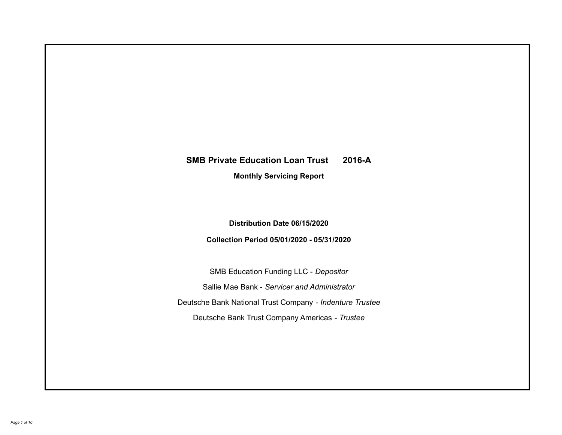# **SMB Private Education Loan Trust 2016-A Monthly Servicing Report**

**Distribution Date 06/15/2020**

**Collection Period 05/01/2020 - 05/31/2020**

SMB Education Funding LLC - *Depositor* Sallie Mae Bank - *Servicer and Administrator* Deutsche Bank National Trust Company - *Indenture Trustee* Deutsche Bank Trust Company Americas - *Trustee*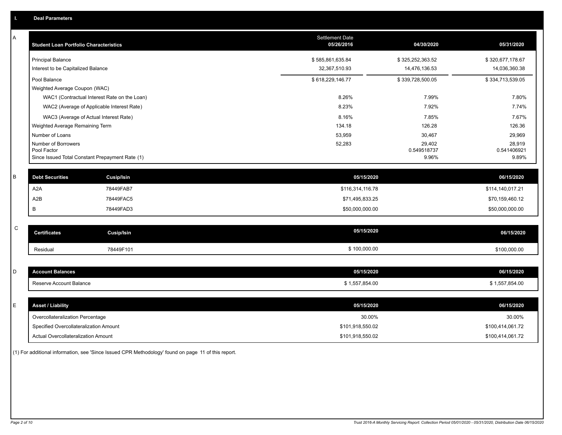| Α           | <b>Student Loan Portfolio Characteristics</b>                  | <b>Settlement Date</b><br>05/26/2016 | 04/30/2020           | 05/31/2020           |
|-------------|----------------------------------------------------------------|--------------------------------------|----------------------|----------------------|
|             | <b>Principal Balance</b>                                       | \$585,861,635.84                     | \$325,252,363.52     | \$320,677,178.67     |
|             | Interest to be Capitalized Balance                             | 32,367,510.93                        | 14,476,136.53        | 14,036,360.38        |
|             | Pool Balance                                                   | \$618,229,146.77                     | \$339,728,500.05     | \$334,713,539.05     |
|             | Weighted Average Coupon (WAC)                                  |                                      |                      |                      |
|             | WAC1 (Contractual Interest Rate on the Loan)                   | 8.26%                                | 7.99%                | 7.80%                |
|             | WAC2 (Average of Applicable Interest Rate)                     | 8.23%                                | 7.92%                | 7.74%                |
|             | WAC3 (Average of Actual Interest Rate)                         | 8.16%                                | 7.85%                | 7.67%                |
|             | Weighted Average Remaining Term                                | 134.18                               | 126.28               | 126.36               |
|             | Number of Loans                                                | 53,959                               | 30,467               | 29,969               |
|             | Number of Borrowers                                            | 52,283                               | 29,402               | 28,919               |
|             | Pool Factor<br>Since Issued Total Constant Prepayment Rate (1) |                                      | 0.549518737<br>9.96% | 0.541406921<br>9.89% |
|             |                                                                |                                      |                      |                      |
| B           | <b>Debt Securities</b><br><b>Cusip/Isin</b>                    | 05/15/2020                           |                      | 06/15/2020           |
|             | A <sub>2</sub> A<br>78449FAB7                                  | \$116,314,116.78                     |                      | \$114,140,017.21     |
|             | A2B<br>78449FAC5                                               | \$71,495,833.25                      |                      | \$70,159,460.12      |
|             | B<br>78449FAD3                                                 | \$50,000,000.00                      |                      | \$50,000,000.00      |
|             |                                                                |                                      |                      |                      |
| $\mathsf C$ | <b>Certificates</b><br><b>Cusip/Isin</b>                       | 05/15/2020                           |                      | 06/15/2020           |
|             | 78449F101<br>Residual                                          | \$100,000.00                         |                      | \$100,000.00         |
|             |                                                                |                                      |                      |                      |
| D           | <b>Account Balances</b>                                        | 05/15/2020                           |                      | 06/15/2020           |
|             | Reserve Account Balance                                        | \$1,557,854.00                       |                      | \$1,557,854.00       |
|             |                                                                |                                      |                      |                      |
| Е           | <b>Asset / Liability</b>                                       | 05/15/2020                           |                      | 06/15/2020           |
|             | Overcollateralization Percentage                               | 30.00%                               |                      | 30.00%               |
|             | Specified Overcollateralization Amount                         | \$101,918,550.02                     |                      | \$100,414,061.72     |
|             | Actual Overcollateralization Amount                            | \$101,918,550.02                     |                      | \$100,414,061.72     |

(1) For additional information, see 'Since Issued CPR Methodology' found on page 11 of this report.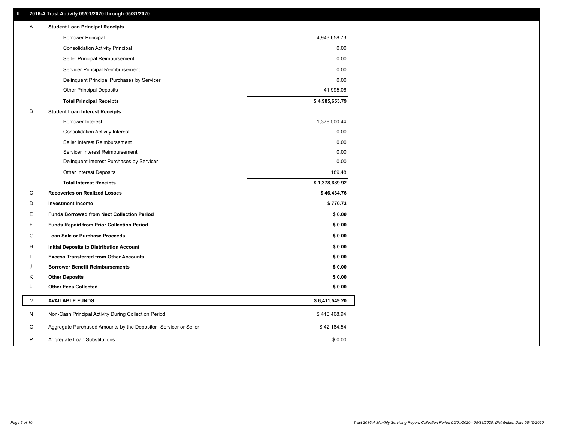# **II. 2016-A Trust Activity 05/01/2020 through 05/31/2020**

| Α | <b>Student Loan Principal Receipts</b>                           |                |  |
|---|------------------------------------------------------------------|----------------|--|
|   | <b>Borrower Principal</b>                                        | 4,943,658.73   |  |
|   | <b>Consolidation Activity Principal</b>                          | 0.00           |  |
|   | Seller Principal Reimbursement                                   | 0.00           |  |
|   | Servicer Principal Reimbursement                                 | 0.00           |  |
|   | Delinquent Principal Purchases by Servicer                       | 0.00           |  |
|   | <b>Other Principal Deposits</b>                                  | 41,995.06      |  |
|   | <b>Total Principal Receipts</b>                                  | \$4,985,653.79 |  |
| B | <b>Student Loan Interest Receipts</b>                            |                |  |
|   | <b>Borrower Interest</b>                                         | 1,378,500.44   |  |
|   | <b>Consolidation Activity Interest</b>                           | 0.00           |  |
|   | Seller Interest Reimbursement                                    | 0.00           |  |
|   | Servicer Interest Reimbursement                                  | 0.00           |  |
|   | Delinquent Interest Purchases by Servicer                        | 0.00           |  |
|   | Other Interest Deposits                                          | 189.48         |  |
|   | <b>Total Interest Receipts</b>                                   | \$1,378,689.92 |  |
| С | <b>Recoveries on Realized Losses</b>                             | \$46,434.76    |  |
| D | <b>Investment Income</b>                                         | \$770.73       |  |
| Ε | <b>Funds Borrowed from Next Collection Period</b>                | \$0.00         |  |
| F | <b>Funds Repaid from Prior Collection Period</b>                 | \$0.00         |  |
| G | <b>Loan Sale or Purchase Proceeds</b>                            | \$0.00         |  |
| н | Initial Deposits to Distribution Account                         | \$0.00         |  |
|   | <b>Excess Transferred from Other Accounts</b>                    | \$0.00         |  |
| J | <b>Borrower Benefit Reimbursements</b>                           | \$0.00         |  |
| Κ | <b>Other Deposits</b>                                            | \$0.00         |  |
| L | <b>Other Fees Collected</b>                                      | \$0.00         |  |
| М | <b>AVAILABLE FUNDS</b>                                           | \$6,411,549.20 |  |
| N | Non-Cash Principal Activity During Collection Period             | \$410,468.94   |  |
| O | Aggregate Purchased Amounts by the Depositor, Servicer or Seller | \$42,184.54    |  |
| P | Aggregate Loan Substitutions                                     | \$0.00         |  |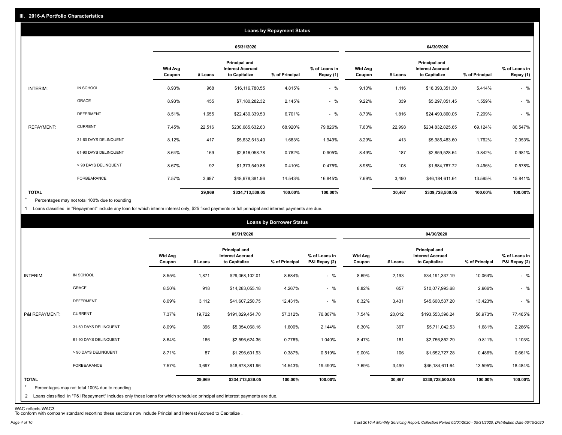|                   |                       |                          |            |                                                           | <b>Loans by Repayment Status</b> |                            |                          |         |                                                           |                |                            |  |
|-------------------|-----------------------|--------------------------|------------|-----------------------------------------------------------|----------------------------------|----------------------------|--------------------------|---------|-----------------------------------------------------------|----------------|----------------------------|--|
|                   |                       |                          | 05/31/2020 |                                                           |                                  | 04/30/2020                 |                          |         |                                                           |                |                            |  |
|                   |                       | <b>Wtd Avg</b><br>Coupon | # Loans    | Principal and<br><b>Interest Accrued</b><br>to Capitalize | % of Principal                   | % of Loans in<br>Repay (1) | <b>Wtd Avg</b><br>Coupon | # Loans | Principal and<br><b>Interest Accrued</b><br>to Capitalize | % of Principal | % of Loans in<br>Repay (1) |  |
| INTERIM:          | IN SCHOOL             | 8.93%                    | 968        | \$16,116,780.55                                           | 4.815%                           | $-$ %                      | 9.10%                    | 1,116   | \$18,393,351.30                                           | 5.414%         | $-$ %                      |  |
|                   | GRACE                 | 8.93%                    | 455        | \$7,180,282.32                                            | 2.145%                           | $-$ %                      | 9.22%                    | 339     | \$5,297,051.45                                            | 1.559%         | $-$ %                      |  |
|                   | <b>DEFERMENT</b>      | 8.51%                    | 1,655      | \$22,430,339.53                                           | 6.701%                           | $-$ %                      | 8.73%                    | 1,816   | \$24,490,860.05                                           | 7.209%         | $-$ %                      |  |
| <b>REPAYMENT:</b> | <b>CURRENT</b>        | 7.45%                    | 22,516     | \$230,685,632.63                                          | 68.920%                          | 79.826%                    | 7.63%                    | 22,998  | \$234,832,825.65                                          | 69.124%        | 80.547%                    |  |
|                   | 31-60 DAYS DELINQUENT | 8.12%                    | 417        | \$5,632,513.40                                            | 1.683%                           | 1.949%                     | 8.29%                    | 413     | \$5,985,483.60                                            | 1.762%         | 2.053%                     |  |
|                   | 61-90 DAYS DELINQUENT | 8.64%                    | 169        | \$2,616,058.78                                            | 0.782%                           | 0.905%                     | 8.49%                    | 187     | \$2,859,528.64                                            | 0.842%         | 0.981%                     |  |
|                   | > 90 DAYS DELINQUENT  | 8.67%                    | 92         | \$1,373,549.88                                            | 0.410%                           | 0.475%                     | 8.98%                    | 108     | \$1,684,787.72                                            | 0.496%         | 0.578%                     |  |
|                   | <b>FORBEARANCE</b>    | 7.57%                    | 3,697      | \$48,678,381.96                                           | 14.543%                          | 16.845%                    | 7.69%                    | 3,490   | \$46,184,611.64                                           | 13.595%        | 15.841%                    |  |
| <b>TOTAL</b>      |                       |                          | 29,969     | \$334,713,539.05                                          | 100.00%                          | 100.00%                    |                          | 30,467  | \$339,728,500.05                                          | 100.00%        | 100.00%                    |  |

Percentages may not total 100% due to rounding \*

1 Loans classified in "Repayment" include any loan for which interim interest only, \$25 fixed payments or full principal and interest payments are due.

|                         | <b>Loans by Borrower Status</b>                                                                                                                                                |                          |            |                                                           |                |                                |                          |         |                                                                  |                |                                |  |
|-------------------------|--------------------------------------------------------------------------------------------------------------------------------------------------------------------------------|--------------------------|------------|-----------------------------------------------------------|----------------|--------------------------------|--------------------------|---------|------------------------------------------------------------------|----------------|--------------------------------|--|
|                         |                                                                                                                                                                                |                          | 05/31/2020 |                                                           |                |                                | 04/30/2020               |         |                                                                  |                |                                |  |
|                         |                                                                                                                                                                                | <b>Wtd Avg</b><br>Coupon | # Loans    | Principal and<br><b>Interest Accrued</b><br>to Capitalize | % of Principal | % of Loans in<br>P&I Repay (2) | <b>Wtd Avg</b><br>Coupon | # Loans | <b>Principal and</b><br><b>Interest Accrued</b><br>to Capitalize | % of Principal | % of Loans in<br>P&I Repay (2) |  |
| INTERIM:                | IN SCHOOL                                                                                                                                                                      | 8.55%                    | 1,871      | \$29,068,102.01                                           | 8.684%         | $-$ %                          | 8.69%                    | 2,193   | \$34,191,337.19                                                  | 10.064%        | $-$ %                          |  |
|                         | GRACE                                                                                                                                                                          | 8.50%                    | 918        | \$14,283,055.18                                           | 4.267%         | $-$ %                          | 8.82%                    | 657     | \$10,077,993.68                                                  | 2.966%         | $-$ %                          |  |
|                         | <b>DEFERMENT</b>                                                                                                                                                               | 8.09%                    | 3,112      | \$41,607,250.75                                           | 12.431%        | $-$ %                          | 8.32%                    | 3,431   | \$45,600,537.20                                                  | 13.423%        | $-$ %                          |  |
| P&I REPAYMENT:          | <b>CURRENT</b>                                                                                                                                                                 | 7.37%                    | 19,722     | \$191,829,454.70                                          | 57.312%        | 76.807%                        | 7.54%                    | 20,012  | \$193,553,398.24                                                 | 56.973%        | 77.465%                        |  |
|                         | 31-60 DAYS DELINQUENT                                                                                                                                                          | 8.09%                    | 396        | \$5,354,068.16                                            | 1.600%         | 2.144%                         | 8.30%                    | 397     | \$5,711,042.53                                                   | 1.681%         | 2.286%                         |  |
|                         | 61-90 DAYS DELINQUENT                                                                                                                                                          | 8.64%                    | 166        | \$2,596,624.36                                            | 0.776%         | 1.040%                         | 8.47%                    | 181     | \$2,756,852.29                                                   | 0.811%         | 1.103%                         |  |
|                         | > 90 DAYS DELINQUENT                                                                                                                                                           | 8.71%                    | 87         | \$1,296,601.93                                            | 0.387%         | 0.519%                         | 9.00%                    | 106     | \$1,652,727.28                                                   | 0.486%         | 0.661%                         |  |
|                         | FORBEARANCE                                                                                                                                                                    | 7.57%                    | 3,697      | \$48,678,381.96                                           | 14.543%        | 19.490%                        | 7.69%                    | 3,490   | \$46,184,611.64                                                  | 13.595%        | 18.484%                        |  |
| <b>TOTAL</b><br>$\star$ | Percentages may not total 100% due to rounding<br>2 Loans classified in "P&I Repayment" includes only those loans for which scheduled principal and interest payments are due. |                          | 29,969     | \$334,713,539.05                                          | 100.00%        | 100.00%                        |                          | 30,467  | \$339,728,500.05                                                 | 100.00%        | 100.00%                        |  |

WAC reflects WAC3 To conform with company standard reporting these sections now include Princial and Interest Accrued to Capitalize .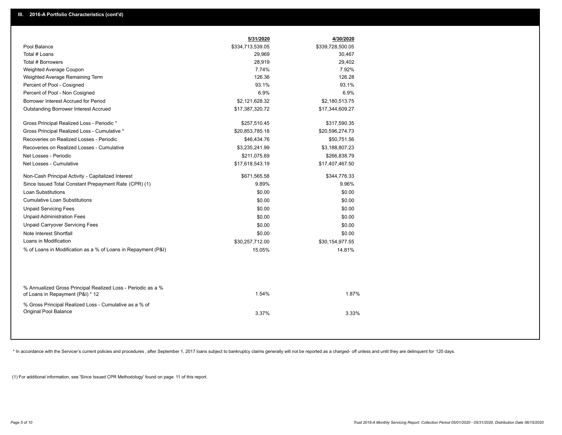|                                                                                                  | 5/31/2020        | 4/30/2020        |
|--------------------------------------------------------------------------------------------------|------------------|------------------|
| Pool Balance                                                                                     | \$334,713,539.05 | \$339,728,500.05 |
| Total # Loans                                                                                    | 29,969           | 30,467           |
| Total # Borrowers                                                                                | 28,919           | 29,402           |
| Weighted Average Coupon                                                                          | 7.74%            | 7.92%            |
| Weighted Average Remaining Term                                                                  | 126.36           | 126.28           |
| Percent of Pool - Cosigned                                                                       | 93.1%            | 93.1%            |
| Percent of Pool - Non Cosigned                                                                   | 6.9%             | 6.9%             |
| Borrower Interest Accrued for Period                                                             | \$2,121,628.32   | \$2,180,513.75   |
| <b>Outstanding Borrower Interest Accrued</b>                                                     | \$17,387,320.72  | \$17,344,609.27  |
| Gross Principal Realized Loss - Periodic *                                                       | \$257,510.45     | \$317,590.35     |
| Gross Principal Realized Loss - Cumulative *                                                     | \$20,853,785.18  | \$20,596,274.73  |
| Recoveries on Realized Losses - Periodic                                                         | \$46,434.76      | \$50,751.56      |
| Recoveries on Realized Losses - Cumulative                                                       | \$3,235,241.99   | \$3,188,807.23   |
| Net Losses - Periodic                                                                            | \$211,075.69     | \$266,838.79     |
| Net Losses - Cumulative                                                                          | \$17,618,543.19  | \$17,407,467.50  |
| Non-Cash Principal Activity - Capitalized Interest                                               | \$671,565.58     | \$344,776.33     |
| Since Issued Total Constant Prepayment Rate (CPR) (1)                                            | 9.89%            | 9.96%            |
| <b>Loan Substitutions</b>                                                                        | \$0.00           | \$0.00           |
| <b>Cumulative Loan Substitutions</b>                                                             | \$0.00           | \$0.00           |
| <b>Unpaid Servicing Fees</b>                                                                     | \$0.00           | \$0.00           |
| <b>Unpaid Administration Fees</b>                                                                | \$0.00           | \$0.00           |
| <b>Unpaid Carryover Servicing Fees</b>                                                           | \$0.00           | \$0.00           |
| Note Interest Shortfall                                                                          | \$0.00           | \$0.00           |
| Loans in Modification                                                                            | \$30,257,712.00  | \$30,154,977.55  |
| % of Loans in Modification as a % of Loans in Repayment (P&I)                                    | 15.05%           | 14.81%           |
|                                                                                                  |                  |                  |
| % Annualized Gross Principal Realized Loss - Periodic as a %<br>of Loans in Repayment (P&I) * 12 | 1.54%            | 1.87%            |
| % Gross Principal Realized Loss - Cumulative as a % of                                           |                  |                  |
| Original Pool Balance                                                                            | 3.37%            | 3.33%            |
|                                                                                                  |                  |                  |

\* In accordance with the Servicer's current policies and procedures, after September 1, 2017 loans subject to bankruptcy claims generally will not be reported as a charged- off unless and until they are delinquent for 120

(1) For additional information, see 'Since Issued CPR Methodology' found on page 11 of this report.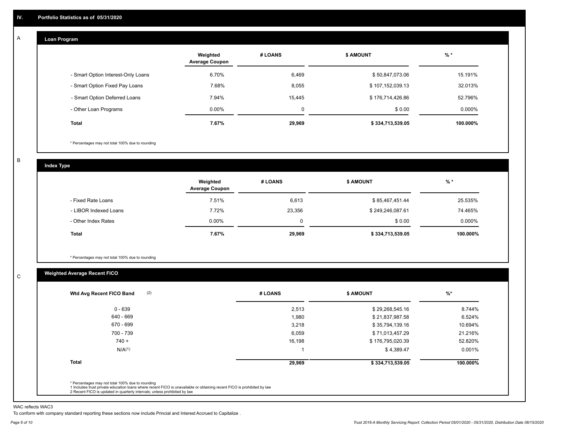#### **Loan Program**  A

|                                    | Weighted<br><b>Average Coupon</b> | # LOANS     | <b>\$ AMOUNT</b> | $%$ *     |
|------------------------------------|-----------------------------------|-------------|------------------|-----------|
| - Smart Option Interest-Only Loans | 6.70%                             | 6,469       | \$50,847,073.06  | 15.191%   |
| - Smart Option Fixed Pay Loans     | 7.68%                             | 8,055       | \$107,152,039.13 | 32.013%   |
| - Smart Option Deferred Loans      | 7.94%                             | 15.445      | \$176,714,426.86 | 52.796%   |
| - Other Loan Programs              | $0.00\%$                          | $\mathbf 0$ | \$0.00           | $0.000\%$ |
| <b>Total</b>                       | 7.67%                             | 29,969      | \$334,713,539.05 | 100.000%  |

\* Percentages may not total 100% due to rounding

B

C

**Index Type**

|                       | Weighted<br><b>Average Coupon</b> | # LOANS | <b>\$ AMOUNT</b> | $%$ *     |
|-----------------------|-----------------------------------|---------|------------------|-----------|
| - Fixed Rate Loans    | 7.51%                             | 6,613   | \$85,467,451.44  | 25.535%   |
| - LIBOR Indexed Loans | 7.72%                             | 23,356  | \$249,246,087.61 | 74.465%   |
| - Other Index Rates   | $0.00\%$                          | 0       | \$0.00           | $0.000\%$ |
| Total                 | 7.67%                             | 29,969  | \$334,713,539.05 | 100.000%  |

\* Percentages may not total 100% due to rounding

# **Weighted Average Recent FICO**

| $0 - 639$          |        |                  |          |
|--------------------|--------|------------------|----------|
|                    | 2,513  | \$29,268,545.16  | 8.744%   |
| 640 - 669          | 1,980  | \$21,837,987.58  | 6.524%   |
| 670 - 699          | 3,218  | \$35,794,139.16  | 10.694%  |
| 700 - 739          | 6,059  | \$71,013,457.29  | 21.216%  |
| $740 +$            | 16,198 | \$176,795,020.39 | 52.820%  |
| N/A <sup>(1)</sup> |        | \$4,389.47       | 0.001%   |
| <b>Total</b>       | 29,969 | \$334,713,539.05 | 100.000% |

WAC reflects WAC3

To conform with company standard reporting these sections now include Princial and Interest Accrued to Capitalize .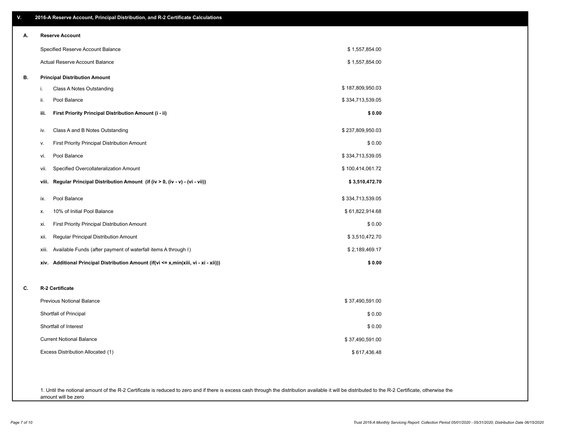| V. | 2016-A Reserve Account, Principal Distribution, and R-2 Certificate Calculations        |                  |
|----|-----------------------------------------------------------------------------------------|------------------|
| А. | <b>Reserve Account</b>                                                                  |                  |
|    | Specified Reserve Account Balance                                                       | \$1,557,854.00   |
|    | <b>Actual Reserve Account Balance</b>                                                   | \$1,557,854.00   |
| В. | <b>Principal Distribution Amount</b>                                                    |                  |
|    | i.<br>Class A Notes Outstanding                                                         | \$187,809,950.03 |
|    | ii.<br>Pool Balance                                                                     | \$334,713,539.05 |
|    | First Priority Principal Distribution Amount (i - ii)<br>iii.                           | \$0.00           |
|    | Class A and B Notes Outstanding<br>iv.                                                  | \$237,809,950.03 |
|    | First Priority Principal Distribution Amount<br>V.                                      | \$0.00           |
|    | Pool Balance<br>vi.                                                                     | \$334,713,539.05 |
|    | Specified Overcollateralization Amount<br>vii.                                          | \$100,414,061.72 |
|    | Regular Principal Distribution Amount (if (iv > 0, (iv - v) - (vi - vii))<br>viii.      | \$3,510,472.70   |
|    | Pool Balance<br>ix.                                                                     | \$334,713,539.05 |
|    | 10% of Initial Pool Balance<br>Х.                                                       | \$61,822,914.68  |
|    | <b>First Priority Principal Distribution Amount</b><br>xi.                              | \$0.00           |
|    | Regular Principal Distribution Amount<br>XII.                                           | \$3,510,472.70   |
|    | Available Funds (after payment of waterfall items A through I)<br>xiii.                 | \$2,189,469.17   |
|    | Additional Principal Distribution Amount (if(vi <= x,min(xiii, vi - xi - xii)))<br>xiv. | \$0.00           |
| C. | R-2 Certificate                                                                         |                  |
|    | <b>Previous Notional Balance</b>                                                        | \$37,490,591.00  |
|    | Shortfall of Principal                                                                  | \$0.00           |
|    | Shortfall of Interest                                                                   | \$0.00           |
|    | <b>Current Notional Balance</b>                                                         | \$37,490,591.00  |
|    | Excess Distribution Allocated (1)                                                       | \$617,436.48     |

1. Until the notional amount of the R-2 Certificate is reduced to zero and if there is excess cash through the distribution available it will be distributed to the R-2 Certificate, otherwise the amount will be zero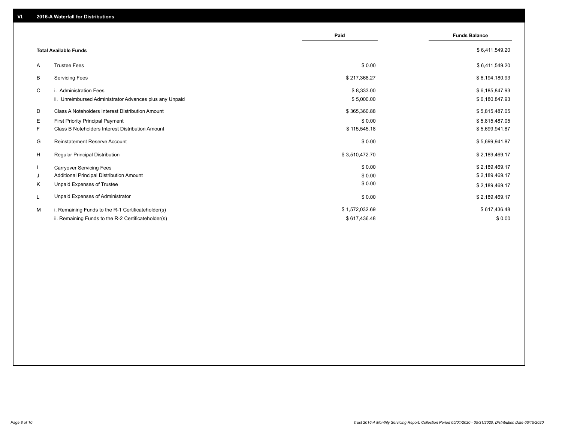|                                                               | Paid           | <b>Funds Balance</b> |
|---------------------------------------------------------------|----------------|----------------------|
| <b>Total Available Funds</b>                                  |                | \$6,411,549.20       |
| <b>Trustee Fees</b><br>A                                      | \$0.00         | \$6,411,549.20       |
| <b>Servicing Fees</b><br>В                                    | \$217,368.27   | \$6,194,180.93       |
| C<br>i. Administration Fees                                   | \$8,333.00     | \$6,185,847.93       |
| ii. Unreimbursed Administrator Advances plus any Unpaid       | \$5,000.00     | \$6,180,847.93       |
| D<br>Class A Noteholders Interest Distribution Amount         | \$365,360.88   | \$5,815,487.05       |
| E.<br><b>First Priority Principal Payment</b>                 | \$0.00         | \$5,815,487.05       |
| F.<br><b>Class B Noteholders Interest Distribution Amount</b> | \$115,545.18   | \$5,699,941.87       |
| Reinstatement Reserve Account<br>G                            | \$0.00         | \$5,699,941.87       |
| H<br><b>Regular Principal Distribution</b>                    | \$3,510,472.70 | \$2,189,469.17       |
| <b>Carryover Servicing Fees</b>                               | \$0.00         | \$2,189,469.17       |
| Additional Principal Distribution Amount<br>J                 | \$0.00         | \$2,189,469.17       |
| Unpaid Expenses of Trustee<br>K                               | \$0.00         | \$2,189,469.17       |
| Unpaid Expenses of Administrator<br>L                         | \$0.00         | \$2,189,469.17       |
| M<br>i. Remaining Funds to the R-1 Certificateholder(s)       | \$1,572,032.69 | \$617,436.48         |
| ii. Remaining Funds to the R-2 Certificateholder(s)           | \$617,436.48   | \$0.00               |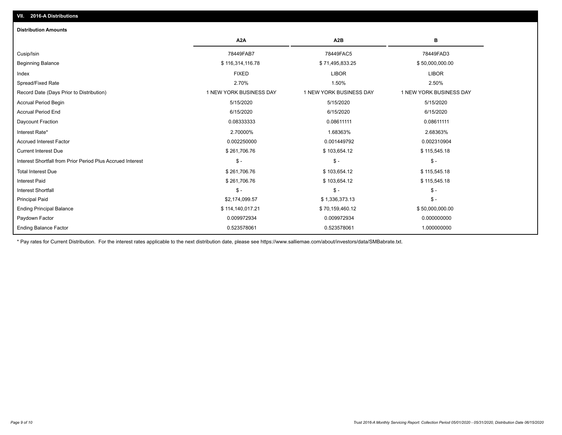# Ending Balance Factor Paydown Factor 0.009972934 0.009972934 0.000000000 Ending Principal Balance \$ 114,140,017.21 \$ \$ 70,159,460.12 \$ \$ 50,000,000.000.00 Principal Paid \$2,174,099.57 \$ 1,336,373.13 \$ - Interest Shortfall \$ - \$ - \$ - Interest Paid \$ 261,706.76 \$ 103,654.12 \$ 115,545.18 Total Interest Due \$ 261,706.76 \$ 103,654.12 \$ 115,545.18 Interest Shortfall from Prior Period Plus Accrued Interest \$ - \$ - \$ - Current Interest Due \$ 261,706.76 \$ 103,654.12 \$ 115,545.18 Accrued Interest Factor 0.002250000 0.001449792 0.002310904 Interest Rate\* 2.70000% 1.68363% 2.68363% Daycount Fraction 0.08333333 0.08611111 0.08611111 Accrual Period End 6/15/2020 6/15/2020 6/15/2020 Accrual Period Begin 5/15/2020 5/15/2020 5/15/2020 Record Date (Days Prior to Distribution) 1 1 NEW YORK BUSINESS DAY 1 NEW YORK BUSINESS DAY 1 NEW YORK BUSINESS DAY Spread/Fixed Rate 2.70% 1.50% 2.50% Index FIXED LIBOR LIBOR Beginning Balance \$ 50,000,000.00 \$ \$ 50,000,000.00 \$ \$ 50,000,000.00 \$ \$ 71,495,833.25 Cusip/Isin 78449FAB7 78449FAC5 78449FAD3 **A2A A2B B** 0.523578061 0.523578061 1.000000000 **Distribution Amounts**

\* Pay rates for Current Distribution. For the interest rates applicable to the next distribution date, please see https://www.salliemae.com/about/investors/data/SMBabrate.txt.

**VII. 2016-A Distributions**